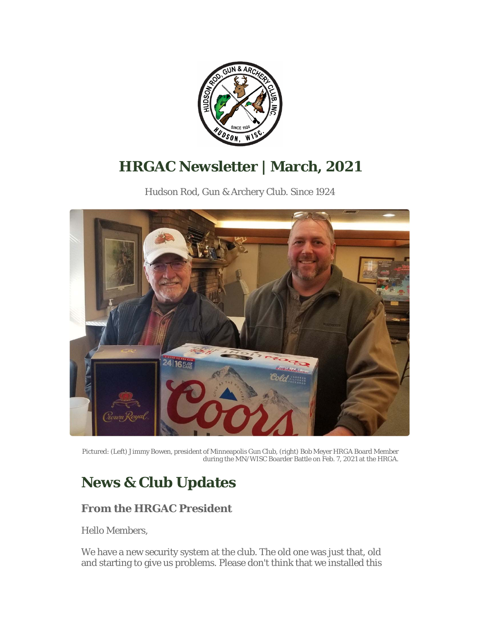

# **HRGAC Newsletter | March, 2021**

Hudson Rod, Gun & Archery Club. Since 1924



Pictured: (Left) Jimmy Bowen, president of Minneapolis Gun Club, (right) Bob Meyer HRGA Board Member during the MN/WISC Boarder Battle on Feb. 7, 2021 at the HRGA.

# **News & Club Updates**

# **From the HRGAC President**

Hello Members,

We have a new security system at the club. The old one was just that, old and starting to give us problems. Please don't think that we installed this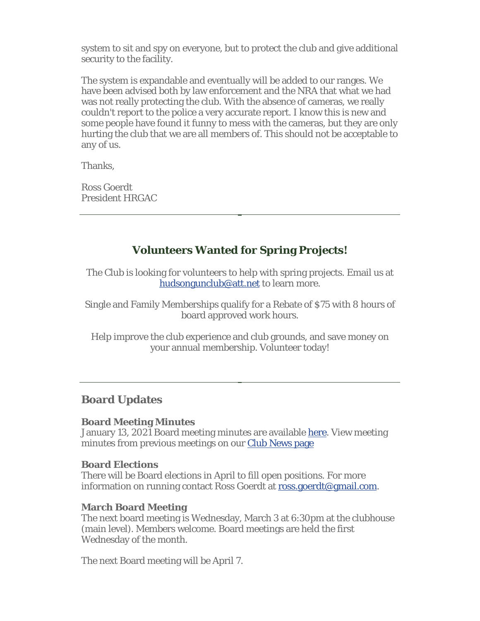system to sit and spy on everyone, but to protect the club and give additional security to the facility.

The system is expandable and eventually will be added to our ranges. We have been advised both by law enforcement and the NRA that what we had was not really protecting the club. With the absence of cameras, we really couldn't report to the police a very accurate report. I know this is new and some people have found it funny to mess with the cameras, but they are only hurting the club that we are all members of. This should not be acceptable to any of us.

Thanks,

Ross Goerdt President HRGAC

## **Volunteers Wanted for Spring Projects!**

The Club is looking for volunteers to help with spring projects. Email us at hudsongunclub@att.net to learn more.

Single and Family Memberships qualify for a Rebate of \$75 with 8 hours of board approved work hours.

Help improve the club experience and club grounds, and save money on your annual membership. Volunteer today!

## **Board Updates**

#### **Board Meeting Minutes**

January 13, 2021 Board meeting minutes are available here. View meeting minutes from previous meetings on our Club News page

#### **Board Elections**

There will be Board elections in April to fill open positions. For more information on running contact Ross Goerdt at ross.goerdt@gmail.com.

#### **March Board Meeting**

The next board meeting is Wednesday, March 3 at 6:30pm at the clubhouse (main level). Members welcome. Board meetings are held the first Wednesday of the month.

The next Board meeting will be April 7.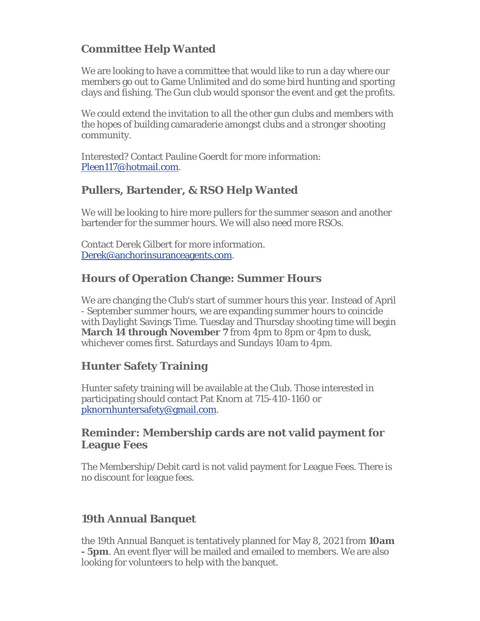# **Committee Help Wanted**

We are looking to have a committee that would like to run a day where our members go out to Game Unlimited and do some bird hunting and sporting clays and fishing. The Gun club would sponsor the event and get the profits.

We could extend the invitation to all the other gun clubs and members with the hopes of building camaraderie amongst clubs and a stronger shooting community.

Interested? Contact Pauline Goerdt for more information: Pleen117@hotmail.com.

### **Pullers, Bartender, & RSO Help Wanted**

We will be looking to hire more pullers for the summer season and another bartender for the summer hours. We will also need more RSOs.

Contact Derek Gilbert for more information. Derek@anchorinsuranceagents.com.

### **Hours of Operation Change: Summer Hours**

We are changing the Club's start of summer hours this year. Instead of April - September summer hours, we are expanding summer hours to coincide with Daylight Savings Time. Tuesday and Thursday shooting time will begin **March 14 through November 7** from 4pm to 8pm or 4pm to dusk. whichever comes first. Saturdays and Sundays 10am to 4pm.

## **Hunter Safety Training**

Hunter safety training will be available at the Club. Those interested in participating should contact Pat Knorn at 715-410-1160 or pknornhuntersafety@gmail.com.

### **Reminder: Membership cards are not valid payment for League Fees**

The Membership/Debit card is not valid payment for League Fees. There is no discount for league fees.

## **19th Annual Banquet**

the 19th Annual Banquet is tentatively planned for May 8, 2021 from **10am - 5pm**. An event flyer will be mailed and emailed to members. We are also looking for volunteers to help with the banquet.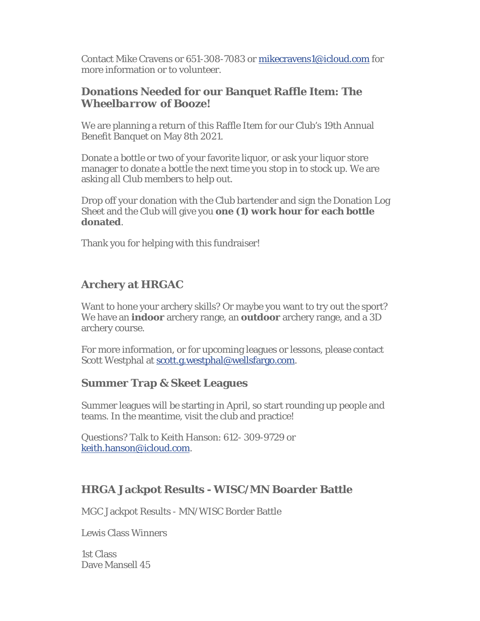Contact Mike Cravens or 651-308-7083 or mikecravens1@icloud.com for more information or to volunteer.

### **Donations Needed for our Banquet Raffle Item:** *The Wheelbarrow of Booze!*

We are planning a return of this Raffle Item for our Club's 19th Annual Benefit Banquet on May 8th 2021.

Donate a bottle or two of your favorite liquor, or ask your liquor store manager to donate a bottle the next time you stop in to stock up. We are asking all Club members to help out.

Drop off your donation with the Club bartender and sign the Donation Log Sheet and the Club will give you **one (1) work hour for each bottle donated**.

Thank you for helping with this fundraiser!

# **Archery at HRGAC**

Want to hone your archery skills? Or maybe you want to try out the sport? We have an **indoor** archery range, an **outdoor** archery range, and a 3D archery course.

For more information, or for upcoming leagues or lessons, please contact Scott Westphal at scott.g.westphal@wellsfargo.com.

### **Summer Trap & Skeet Leagues**

Summer leagues will be starting in April, so start rounding up people and teams. In the meantime, visit the club and practice!

Questions? Talk to Keith Hanson: 612- 309-9729 or keith.hanson@icloud.com.

### **HRGA Jackpot Results - WISC/MN Boarder Battle**

MGC Jackpot Results - MN/WISC Border Battle

Lewis Class Winners

1st Class Dave Mansell 45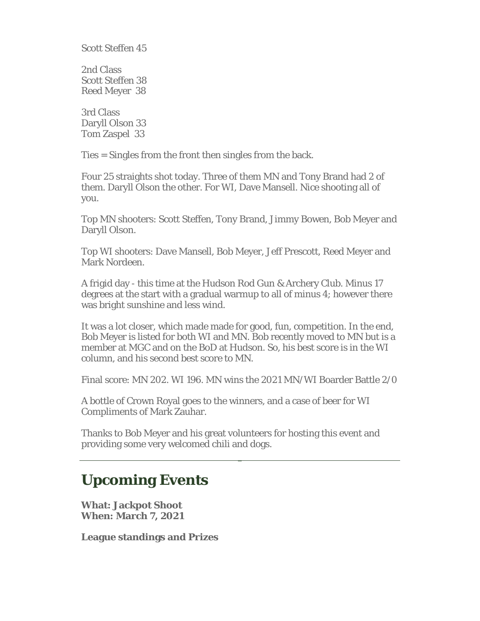Scott Steffen 45

2nd Class Scott Steffen 38 Reed Meyer 38

3rd Class Daryll Olson 33 Tom Zaspel 33

Ties = Singles from the front then singles from the back.

Four 25 straights shot today. Three of them MN and Tony Brand had 2 of them. Daryll Olson the other. For WI, Dave Mansell. Nice shooting all of you.

Top MN shooters: Scott Steffen, Tony Brand, Jimmy Bowen, Bob Meyer and Daryll Olson.

Top WI shooters: Dave Mansell, Bob Meyer, Jeff Prescott, Reed Meyer and Mark Nordeen.

A frigid day - this time at the Hudson Rod Gun & Archery Club. Minus 17 degrees at the start with a gradual warmup to all of minus 4; however there was bright sunshine and less wind.

It was a lot closer, which made made for good, fun, competition. In the end, Bob Meyer is listed for both WI and MN. Bob recently moved to MN but is a member at MGC and on the BoD at Hudson. So, his best score is in the WI column, and his second best score to MN.

Final score: MN 202. WI 196. MN wins the 2021 MN/WI Boarder Battle 2/0

A bottle of Crown Royal goes to the winners, and a case of beer for WI Compliments of Mark Zauhar.

Thanks to Bob Meyer and his great volunteers for hosting this event and providing some very welcomed chili and dogs.

# **Upcoming Events**

**What: Jackpot Shoot When: March 7, 2021**

**League standings and Prizes**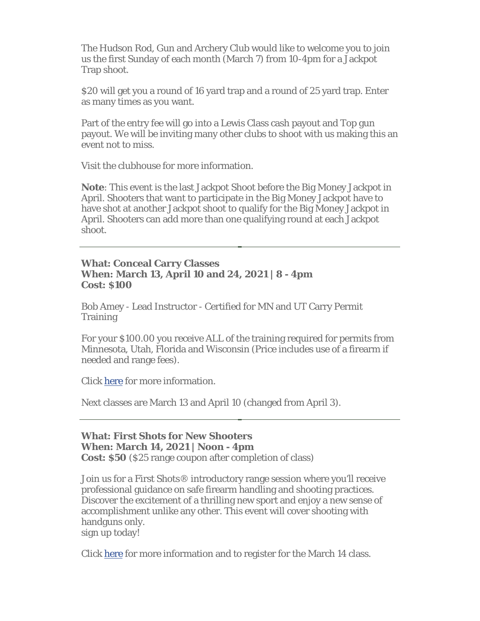The Hudson Rod, Gun and Archery Club would like to welcome you to join us the first Sunday of each month (March 7) from 10-4pm for a Jackpot Trap shoot.

\$20 will get you a round of 16 yard trap and a round of 25 yard trap. Enter as many times as you want.

Part of the entry fee will go into a Lewis Class cash payout and Top gun payout. We will be inviting many other clubs to shoot with us making this an event not to miss.

Visit the clubhouse for more information.

**Note**: This event is the last Jackpot Shoot before the Big Money Jackpot in April. Shooters that want to participate in the Big Money Jackpot have to have shot at another Jackpot shoot to qualify for the Big Money Jackpot in April. Shooters can add more than one qualifying round at each Jackpot shoot.

#### **What: Conceal Carry Classes When: March 13, April 10 and 24, 2021 | 8 - 4pm Cost: \$100**

Bob Amey - Lead Instructor - Certified for MN and UT Carry Permit **Training** 

For your \$100.00 you receive ALL of the training required for permits from Minnesota, Utah, Florida and Wisconsin (Price includes use of a firearm if needed and range fees).

Click here for more information.

Next classes are March 13 and April 10 (changed from April 3).

### **What: First Shots for New Shooters When: March 14, 2021 | Noon - 4pm**

**Cost: \$50** (\$25 range coupon after completion of class)

Join us for a First Shots® introductory range session where you'll receive professional guidance on safe firearm handling and shooting practices. Discover the excitement of a thrilling new sport and enjoy a new sense of accomplishment unlike any other. This event will cover shooting with handguns only.

sign up today!

Click here for more information and to register for the March 14 class.